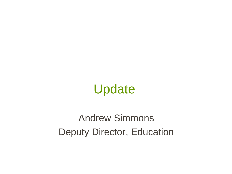Update

Andrew Simmons Deputy Director, Education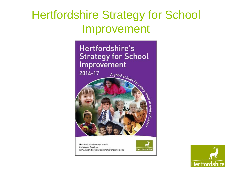### Hertfordshire Strategy for School Improvement



Hertfordshire County Council **Children's Services** www.thegrid.org.uk/leadership/improvement



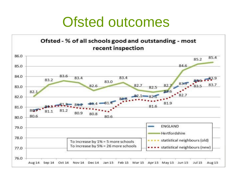## Ofsted outcomes

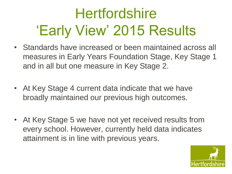# **Hertfordshire** 'Early View' 2015 Results

- Standards have increased or been maintained across all measures in Early Years Foundation Stage, Key Stage 1 and in all but one measure in Key Stage 2.
- At Key Stage 4 current data indicate that we have broadly maintained our previous high outcomes.
- At Key Stage 5 we have not yet received results from every school. However, currently held data indicates attainment is in line with previous years.

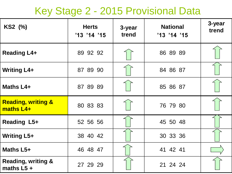### Key Stage 2 - 2015 Provisional Data

| KS2 (%)                                       | <b>Herts</b><br>'13 '14 '15 | 3-year<br>trend | <b>National</b><br>'13 '14 '15 | 3-year<br>trend |
|-----------------------------------------------|-----------------------------|-----------------|--------------------------------|-----------------|
| <b>Reading L4+</b>                            | 89 92 92                    |                 | 86 89 89                       |                 |
| <b>Writing L4+</b>                            | 87 89 90                    |                 | 84 86 87                       |                 |
| Maths L4+                                     | 87 89 89                    |                 | 85 86 87                       |                 |
| <b>Reading, writing &amp;</b><br>maths L4+    | 80 83 83                    |                 | 76 79 80                       |                 |
| Reading L5+                                   | 52 56 56                    |                 | 45 50 48                       |                 |
| <b>Writing L5+</b>                            | 38 40 42                    |                 | 30 33 36                       |                 |
| Maths L5+                                     | 46 48 47                    |                 | 41 42 41                       |                 |
| <b>Reading, writing &amp;</b><br>maths $L5 +$ | 27 29 29                    |                 | 21 24 24                       |                 |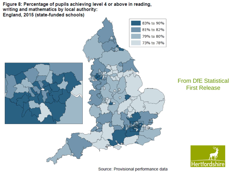

#### From DfE Statistical First Release



Source: Provisional performance data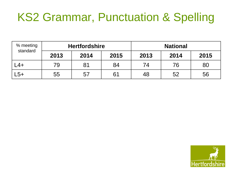### KS2 Grammar, Punctuation & Spelling

| % meeting<br>standard | <b>Hertfordshire</b> |      |      | <b>National</b> |      |      |
|-----------------------|----------------------|------|------|-----------------|------|------|
|                       | 2013                 | 2014 | 2015 | 2013            | 2014 | 2015 |
| L4+                   | 79                   | 81   | 84   | 74              | 76   | 80   |
| _5+                   | 55                   | 57   | 61   | 48              | 52   | 56   |

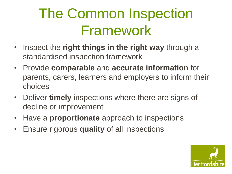# The Common Inspection Framework

- Inspect the **right things in the right way** through a standardised inspection framework
- Provide **comparable** and **accurate information** for parents, carers, learners and employers to inform their choices
- Deliver **timely** inspections where there are signs of decline or improvement
- Have a **proportionate** approach to inspections
- Ensure rigorous **quality** of all inspections

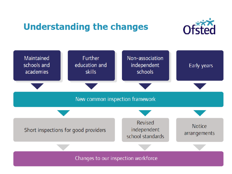#### **Understanding the changes**



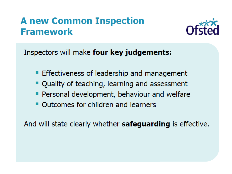#### **A new Common Inspection Framework**



Inspectors will make four key judgements:

- **Effectiveness of leadership and management**
- " Quality of teaching, learning and assessment
- **Personal development, behaviour and welfare**
- Outcomes for children and learners

And will state clearly whether **safeguarding** is effective.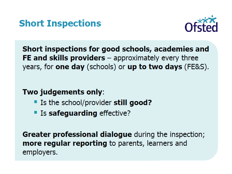



Short inspections for good schools, academies and FE and skills providers  $-$  approximately every three years, for one day (schools) or up to two days (FE&S).

Two judgements only:

- If Is the school/provider still good?
- **Example 15 safeguarding effective?**

**Greater professional dialogue** during the inspection; more regular reporting to parents, learners and employers.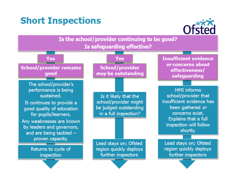#### **Short Inspections**



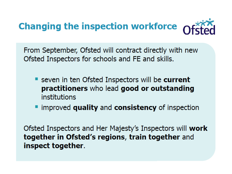

From September, Ofsted will contract directly with new Ofsted Inspectors for schools and FE and skills.

- Seven in ten Ofsted Inspectors will be current practitioners who lead good or outstanding institutions
- " improved quality and consistency of inspection

Ofsted Inspectors and Her Majesty's Inspectors will work together in Ofsted's regions, train together and inspect together.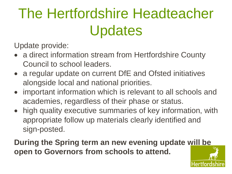# The Hertfordshire Headteacher Updates

Update provide:

- a direct information stream from Hertfordshire County Council to school leaders.
- a regular update on current DfE and Ofsted initiatives alongside local and national priorities.
- important information which is relevant to all schools and academies, regardless of their phase or status.
- high quality executive summaries of key information, with appropriate follow up materials clearly identified and sign-posted.

**During the Spring term an new evening update will be open to Governors from schools to attend.**